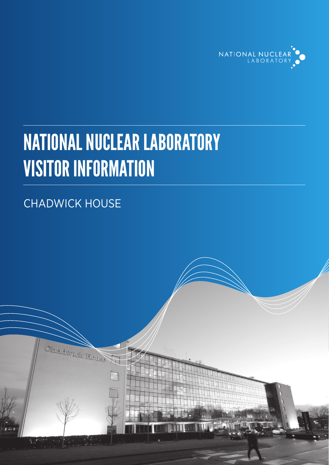

# NATIONAL NUCLEAR LABORATORY VISITOR INFORMATION

## CHADWICK HOUSE

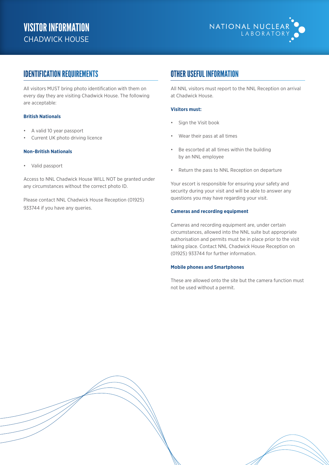

## IDENTIFICATION REQUIREMENTS

All visitors MUST bring photo identification with them on every day they are visiting Chadwick House. The following are acceptable:

#### **British Nationals**

- A valid 10 year passport
- Current UK photo driving licence

#### **Non-British Nationals**

• Valid passport

Access to NNL Chadwick House WILL NOT be granted under any circumstances without the correct photo ID.

Please contact NNL Chadwick House Reception (01925) 933744 if you have any queries.

## OTHER USEFUL INFORMATION

All NNL visitors must report to the NNL Reception on arrival at Chadwick House.

#### **Visitors must:**

- Sign the Visit book
- Wear their pass at all times
- Be escorted at all times within the building by an NNL employee
- Return the pass to NNL Reception on departure

Your escort is responsible for ensuring your safety and security during your visit and will be able to answer any questions you may have regarding your visit.

#### **Cameras and recording equipment**

Cameras and recording equipment are, under certain circumstances, allowed into the NNL suite but appropriate authorisation and permits must be in place prior to the visit taking place. Contact NNL Chadwick House Reception on (01925) 933744 for further information.

#### **Mobile phones and Smartphones**

These are allowed onto the site but the camera function must not be used without a permit.

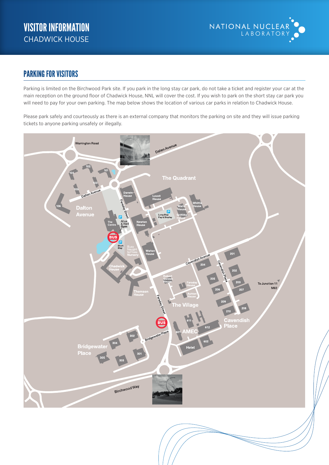

## PARKING FOR VISITORS

Parking is limited on the Birchwood Park site. If you park in the long stay car park, do not take a ticket and register your car at the main reception on the ground floor of Chadwick House, NNL will cover the cost. If you wish to park on the short stay car park you will need to pay for your own parking. The map below shows the location of various car parks in relation to Chadwick House.

Please park safely and courteously as there is an external company that monitors the parking on site and they will issue parking ricase park safery and coarteously as there is an external e-<br>tickets to anyone parking unsafely or illegally.



**Chadwick House short stay** – 1 hour free; over one hour charges apply; validate your ticket

**The Centre** – 1 hour free, 3 hours free with a £5.00 purchase in The Centre; validate your ticket at the till.

at  $C$  Chadwick House reception before going back to  $\mathcal{L}$